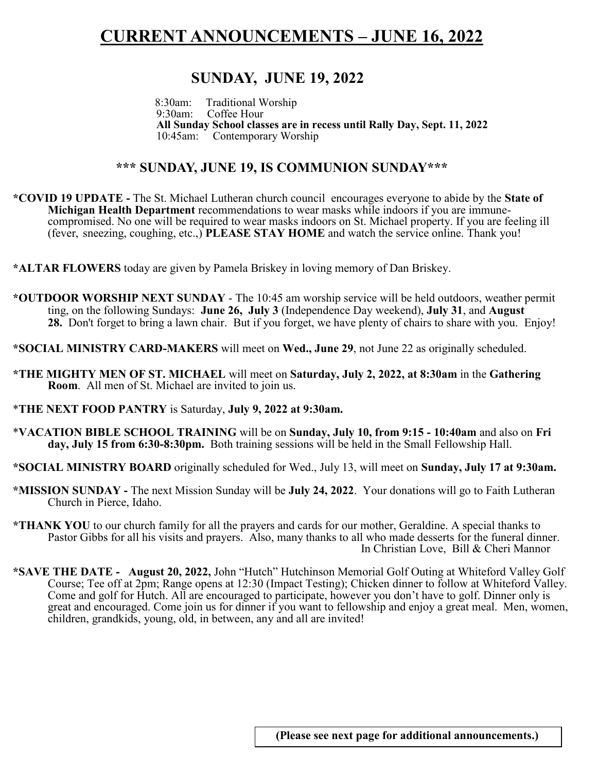## **CURRENT ANNOUNCEMENTS – JUNE 16, 2022**

## **SUNDAY, JUNE 19, 2022**

 8:30am:Traditional Worship Coffee Hour **All Sunday School classes are in recess until Rally Day, Sept. 11, 2022** 10:45am: Contemporary Worship

#### **\*\*\* SUNDAY, JUNE 19, IS COMMUNION SUNDAY\*\*\***

**\*COVID 19 UPDATE -** The St. Michael Lutheran church council encourages everyone to abide by the **State of Michigan Health Department** recommendations to wear masks while indoors if you are immunecompromised. No one will be required to wear masks indoors on St. Michael property. If you are feeling ill (fever, sneezing, coughing, etc.,) **PLEASE STAY HOME** and watch the service online. Thank you!

**\*ALTAR FLOWERS** today are given by Pamela Briskey in loving memory of Dan Briskey.

- **\*OUTDOOR WORSHIP NEXT SUNDAY**  The 10:45 am worship service will be held outdoors, weather permit ting, on the following Sundays: **June 26, July 3** (Independence Day weekend), **July 31**, and **August 28.** Don't forget to bring a lawn chair. But if you forget, we have plenty of chairs to share with you. Enjoy!
- **\*SOCIAL MINISTRY CARD-MAKERS** will meet on **Wed., June 29**, not June 22 as originally scheduled.
- **\*THE MIGHTY MEN OF ST. MICHAEL** will meet on **Saturday, July 2, 2022, at 8:30am** in the **Gathering Room**. All men of St. Michael are invited to join us.
- \***THE NEXT FOOD PANTRY** is Saturday, **July 9, 2022 at 9:30am.**
- \***VACATION BIBLE SCHOOL TRAINING** will be on **Sunday, July 10, from 9:15 - 10:40am** and also on **Fri day, July 15 from 6:30-8:30pm.** Both training sessions will be held in the Small Fellowship Hall.
- **\*SOCIAL MINISTRY BOARD** originally scheduled for Wed., July 13, will meet on **Sunday, July 17 at 9:30am.**
- **\*MISSION SUNDAY -** The next Mission Sunday will be **July 24, 2022**. Your donations will go to Faith Lutheran Church in Pierce, Idaho.
- **\*THANK YOU** to our church family for all the prayers and cards for our mother, Geraldine. A special thanks to Pastor Gibbs for all his visits and prayers. Also, many thanks to all who made desserts for the funeral dinner. In Christian Love, Bill & Cheri Mannor
- **\*SAVE THE DATE - August 20, 2022,** John "Hutch" Hutchinson Memorial Golf Outing at Whiteford Valley Golf Course; Tee off at 2pm; Range opens at 12:30 (Impact Testing); Chicken dinner to follow at Whiteford Valley. Come and golf for Hutch. All are encouraged to participate, however you don't have to golf. Dinner only is great and encouraged. Come join us for dinner if you want to fellowship and enjoy a great meal. Men, women, children, grandkids, young, old, in between, any and all are invited!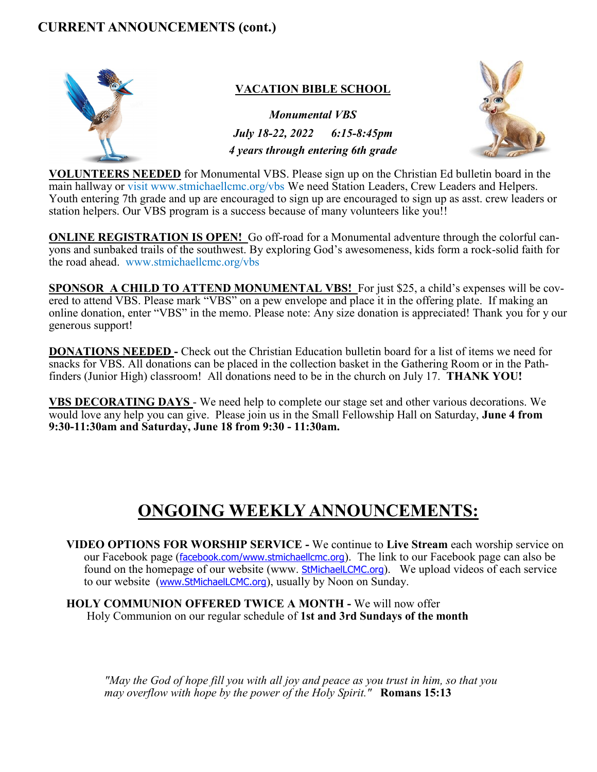### **CURRENT ANNOUNCEMENTS (cont.)**



#### **VACATION BIBLE SCHOOL**

*Monumental VBS July 18-22, 2022 6:15-8:45pm 4 years through entering 6th grade*



**VOLUNTEERS NEEDED** for Monumental VBS. Please sign up on the Christian Ed bulletin board in the main hallway or visit www.stmichaellcmc.org/vbs We need Station Leaders, Crew Leaders and Helpers. Youth entering 7th grade and up are encouraged to sign up are encouraged to sign up as asst. crew leaders or station helpers. Our VBS program is a success because of many volunteers like you!!

**ONLINE REGISTRATION IS OPEN!** Go off-road for a Monumental adventure through the colorful canyons and sunbaked trails of the southwest. By exploring God's awesomeness, kids form a rock-solid faith for the road ahead. www.stmichaellcmc.org/vbs

**SPONSOR A CHILD TO ATTEND MONUMENTAL VBS!** For just \$25, a child's expenses will be covered to attend VBS. Please mark "VBS" on a pew envelope and place it in the offering plate. If making an online donation, enter "VBS" in the memo. Please note: Any size donation is appreciated! Thank you for y our generous support!

**DONATIONS NEEDED -** Check out the Christian Education bulletin board for a list of items we need for snacks for VBS. All donations can be placed in the collection basket in the Gathering Room or in the Pathfinders (Junior High) classroom! All donations need to be in the church on July 17. **THANK YOU!**

**VBS DECORATING DAYS** - We need help to complete our stage set and other various decorations. We would love any help you can give. Please join us in the Small Fellowship Hall on Saturday, **June 4 from 9:30-11:30am and Saturday, June 18 from 9:30 - 11:30am.**

# **ONGOING WEEKLY ANNOUNCEMENTS:**

- **VIDEO OPTIONS FOR WORSHIP SERVICE -** We continue to **Live Stream** each worship service on our Facebook page ([facebook.com/](http://facebook.com/)[www.stmichaellcmc.org](https://mail.bex.net/app/www.stmichaellcmc.org)). The link to our Facebook page can also be found on the homepage of our website (www. [StMichaelLCMC.org](http://stmichaellcmc.org/)). We upload videos of each service to our website ([www.StMichaelLCMC.org](https://mail.bex.net/app/www.StMichaelLCMC.org)), usually by Noon on Sunday.
- **HOLY COMMUNION OFFERED TWICE A MONTH -** We will now offer Holy Communion on our regular schedule of **1st and 3rd Sundays of the month**

*"May the God of hope fill you with all joy and peace as you trust in him, so that you may overflow with hope by the power of the Holy Spirit."* **Romans 15:13**